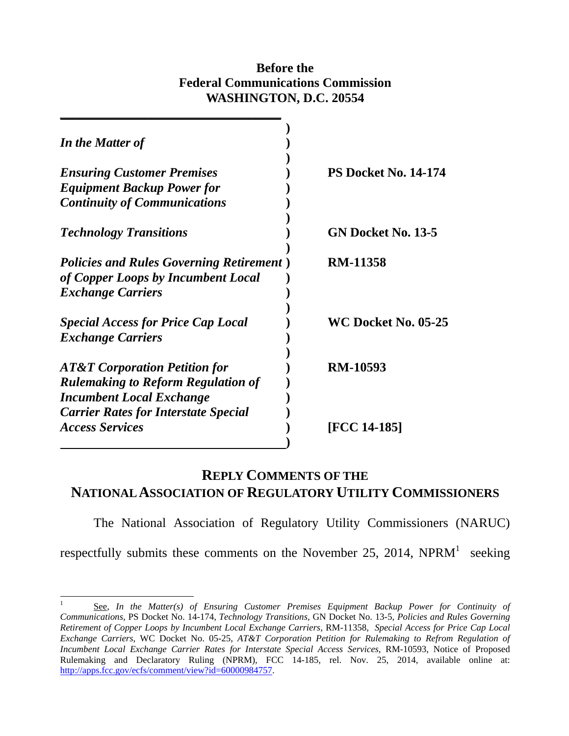### **Before the Federal Communications Commission WASHINGTON, D.C. 20554**

| In the Matter of                                                                                                   |                             |
|--------------------------------------------------------------------------------------------------------------------|-----------------------------|
| <b>Ensuring Customer Premises</b>                                                                                  | <b>PS Docket No. 14-174</b> |
| <b>Equipment Backup Power for</b>                                                                                  |                             |
| <b>Continuity of Communications</b>                                                                                |                             |
| <b>Technology Transitions</b>                                                                                      | GN Docket No. 13-5          |
| <b>Policies and Rules Governing Retirement</b> )<br>of Copper Loops by Incumbent Local<br><b>Exchange Carriers</b> | <b>RM-11358</b>             |
| <b>Special Access for Price Cap Local</b><br><b>Exchange Carriers</b>                                              | <b>WC Docket No. 05-25</b>  |
| <b>AT&amp;T Corporation Petition for</b><br><b>Rulemaking to Reform Regulation of</b>                              | <b>RM-10593</b>             |
| <b>Incumbent Local Exchange</b><br><b>Carrier Rates for Interstate Special</b><br><b>Access Services</b>           | [FCC 14-185]                |

# **REPLY COMMENTS OF THE NATIONAL ASSOCIATION OF REGULATORY UTILITY COMMISSIONERS**

The National Association of Regulatory Utility Commissioners (NARUC)

respectfully submits these comments on the November 25, 2014,  $NPRM<sup>1</sup>$  seeking

<sup>1</sup> See, *In the Matter(s) of Ensuring Customer Premises Equipment Backup Power for Continuity of Communications*, PS Docket No. 14-174, *Technology Transitions,* GN Docket No. 13-5, *Policies and Rules Governing Retirement of Copper Loops by Incumbent Local Exchange Carriers*, RM-11358, *Special Access for Price Cap Local Exchange Carriers*, WC Docket No. 05-25, *AT&T Corporation Petition for Rulemaking to Refrom Regulation of Incumbent Local Exchange Carrier Rates for Interstate Special Access Services*, RM-10593, Notice of Proposed Rulemaking and Declaratory Ruling (NPRM), FCC 14-185, rel. Nov. 25, 2014, available online at: http://apps.fcc.gov/ecfs/comment/view?id=60000984757.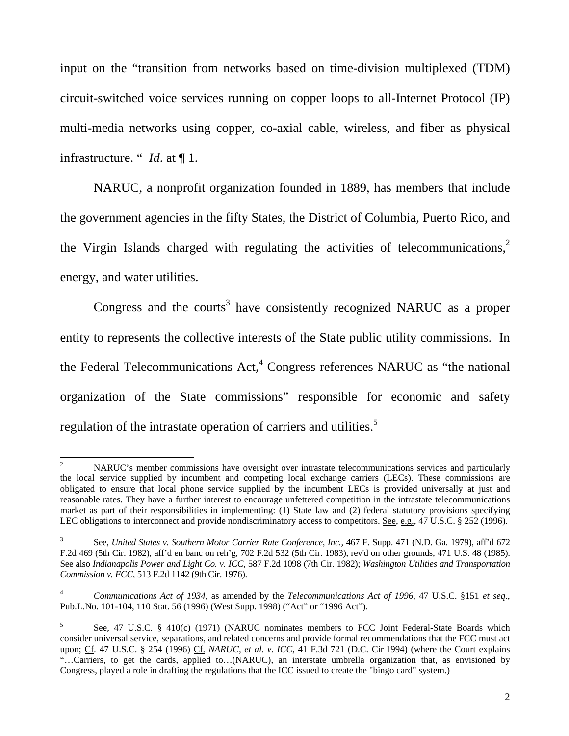input on the "transition from networks based on time-division multiplexed (TDM) circuit-switched voice services running on copper loops to all-Internet Protocol (IP) multi-media networks using copper, co-axial cable, wireless, and fiber as physical infrastructure. " *Id*. at ¶ 1.

NARUC, a nonprofit organization founded in 1889, has members that include the government agencies in the fifty States, the District of Columbia, Puerto Rico, and the Virgin Islands charged with regulating the activities of telecommunications, $2$ energy, and water utilities.

Congress and the courts<sup>3</sup> have consistently recognized NARUC as a proper entity to represents the collective interests of the State public utility commissions. In the Federal Telecommunications  $Act<sub>1</sub><sup>4</sup> Congress references NARUC as "the national"$ organization of the State commissions" responsible for economic and safety regulation of the intrastate operation of carriers and utilities.<sup>5</sup>

 $\frac{1}{2}$  NARUC's member commissions have oversight over intrastate telecommunications services and particularly the local service supplied by incumbent and competing local exchange carriers (LECs). These commissions are obligated to ensure that local phone service supplied by the incumbent LECs is provided universally at just and reasonable rates. They have a further interest to encourage unfettered competition in the intrastate telecommunications market as part of their responsibilities in implementing: (1) State law and (2) federal statutory provisions specifying LEC obligations to interconnect and provide nondiscriminatory access to competitors. See, e.g., 47 U.S.C. § 252 (1996).

<sup>3</sup> See, *United States v. Southern Motor Carrier Rate Conference, Inc.,* 467 F. Supp. 471 (N.D. Ga. 1979), aff'd 672 F.2d 469 (5th Cir. 1982), aff'd en banc on reh'g, 702 F.2d 532 (5th Cir. 1983), rev'd on other grounds*,* 471 U.S. 48 (1985). See also *Indianapolis Power and Light Co. v. ICC*, 587 F.2d 1098 (7th Cir. 1982); *Washington Utilities and Transportation Commission v. FCC,* 513 F.2d 1142 (9th Cir. 1976).

<sup>4</sup>  *Communications Act of 1934*, as amended by the *Telecommunications Act of 1996*, 47 U.S.C. §151 *et seq*., Pub.L.No. 101-104, 110 Stat. 56 (1996) (West Supp. 1998) ("Act" or "1996 Act").

<sup>5</sup> See, 47 U.S.C. § 410(c) (1971) (NARUC nominates members to FCC Joint Federal-State Boards which consider universal service, separations, and related concerns and provide formal recommendations that the FCC must act upon; Cf*.* 47 U.S.C. § 254 (1996) Cf. *NARUC, et al. v. ICC,* 41 F.3d 721 (D.C. Cir 1994) (where the Court explains "…Carriers, to get the cards, applied to…(NARUC), an interstate umbrella organization that, as envisioned by Congress, played a role in drafting the regulations that the ICC issued to create the "bingo card" system.)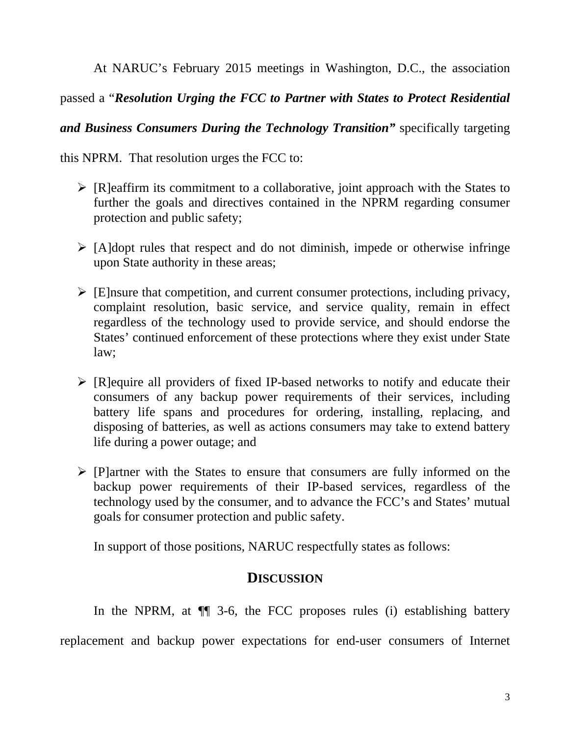At NARUC's February 2015 meetings in Washington, D.C., the association

passed a "*Resolution Urging the FCC to Partner with States to Protect Residential* 

*and Business Consumers During the Technology Transition"* specifically targeting

this NPRM.That resolution urges the FCC to:

- $\triangleright$  [R]eaffirm its commitment to a collaborative, joint approach with the States to further the goals and directives contained in the NPRM regarding consumer protection and public safety;
- $\triangleright$  [A]dopt rules that respect and do not diminish, impede or otherwise infringe upon State authority in these areas;
- $\triangleright$  [E]nsure that competition, and current consumer protections, including privacy, complaint resolution, basic service, and service quality, remain in effect regardless of the technology used to provide service, and should endorse the States' continued enforcement of these protections where they exist under State law;
- $\triangleright$  [R]equire all providers of fixed IP-based networks to notify and educate their consumers of any backup power requirements of their services, including battery life spans and procedures for ordering, installing, replacing, and disposing of batteries, as well as actions consumers may take to extend battery life during a power outage; and
- $\triangleright$  [P]artner with the States to ensure that consumers are fully informed on the backup power requirements of their IP-based services, regardless of the technology used by the consumer, and to advance the FCC's and States' mutual goals for consumer protection and public safety.

In support of those positions, NARUC respectfully states as follows:

## **DISCUSSION**

In the NPRM, at  $\P$  3-6, the FCC proposes rules (i) establishing battery replacement and backup power expectations for end-user consumers of Internet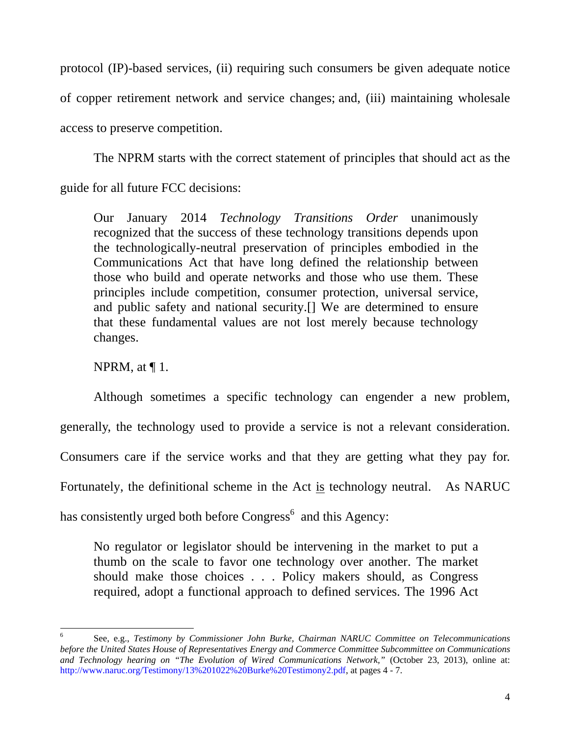protocol (IP)-based services, (ii) requiring such consumers be given adequate notice of copper retirement network and service changes; and, (iii) maintaining wholesale access to preserve competition.

 The NPRM starts with the correct statement of principles that should act as the guide for all future FCC decisions:

Our January 2014 *Technology Transitions Order* unanimously recognized that the success of these technology transitions depends upon the technologically-neutral preservation of principles embodied in the Communications Act that have long defined the relationship between those who build and operate networks and those who use them. These principles include competition, consumer protection, universal service, and public safety and national security.[] We are determined to ensure that these fundamental values are not lost merely because technology changes.

NPRM, at  $\P$  1.

 Although sometimes a specific technology can engender a new problem, generally, the technology used to provide a service is not a relevant consideration. Consumers care if the service works and that they are getting what they pay for. Fortunately, the definitional scheme in the Act is technology neutral. As NARUC has consistently urged both before  $Congress<sup>6</sup>$  and this Agency:

No regulator or legislator should be intervening in the market to put a thumb on the scale to favor one technology over another. The market should make those choices . . . Policy makers should, as Congress required, adopt a functional approach to defined services. The 1996 Act

<sup>6</sup> See, e.g., *Testimony by Commissioner John Burke, Chairman NARUC Committee on Telecommunications before the United States House of Representatives Energy and Commerce Committee Subcommittee on Communications and Technology hearing on "The Evolution of Wired Communications Network,"* (October 23, 2013), online at: http://www.naruc.org/Testimony/13%201022%20Burke%20Testimony2.pdf, at pages 4 - 7.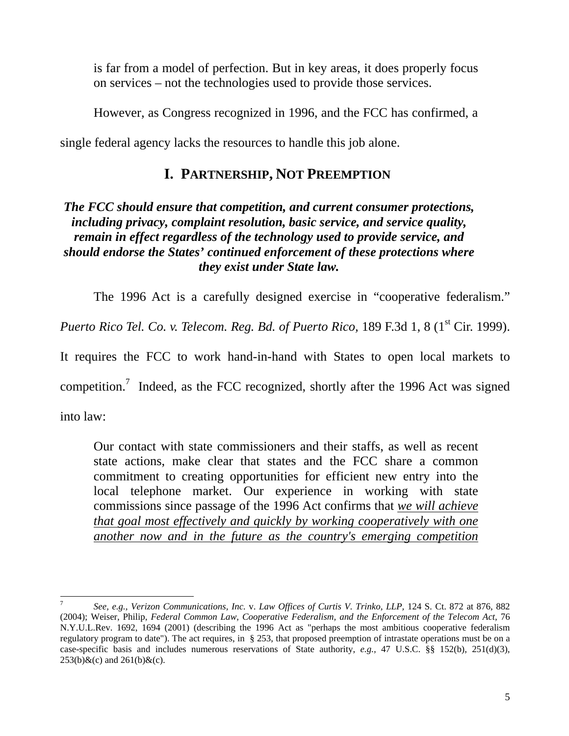is far from a model of perfection. But in key areas, it does properly focus on services – not the technologies used to provide those services.

However, as Congress recognized in 1996, and the FCC has confirmed, a

single federal agency lacks the resources to handle this job alone.

# **I. PARTNERSHIP, NOT PREEMPTION**

### *The FCC should ensure that competition, and current consumer protections, including privacy, complaint resolution, basic service, and service quality, remain in effect regardless of the technology used to provide service, and should endorse the States' continued enforcement of these protections where they exist under State law.*

The 1996 Act is a carefully designed exercise in "cooperative federalism."

*Puerto Rico Tel. Co. v. Telecom. Reg. Bd. of Puerto Rico, 189 F.3d 1, 8 (1<sup>st</sup> Cir. 1999).* 

It requires the FCC to work hand-in-hand with States to open local markets to

competition.<sup>7</sup> Indeed, as the FCC recognized, shortly after the 1996 Act was signed

into law:

Our contact with state commissioners and their staffs, as well as recent state actions, make clear that states and the FCC share a common commitment to creating opportunities for efficient new entry into the local telephone market. Our experience in working with state commissions since passage of the 1996 Act confirms that *we will achieve that goal most effectively and quickly by working cooperatively with one another now and in the future as the country's emerging competition* 

 7 *See, e.g., Verizon Communications, Inc.* v. *Law Offices of Curtis V. Trinko, LLP,* 124 S. Ct. 872 at 876, 882 (2004); Weiser, Philip, *Federal Common Law, Cooperative Federalism, and the Enforcement of the Telecom Act,* 76 N.Y.U.L.Rev. 1692, 1694 (2001) (describing the 1996 Act as "perhaps the most ambitious cooperative federalism regulatory program to date"). The act requires, in § 253, that proposed preemption of intrastate operations must be on a case-specific basis and includes numerous reservations of State authority, *e.g.,* 47 U.S.C. §§ 152(b), 251(d)(3),  $253(b)$ &(c) and  $261(b)$ &(c).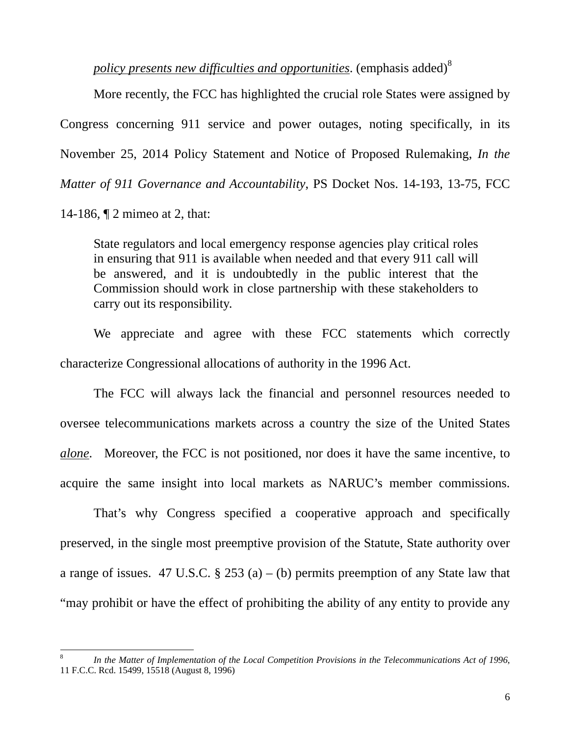*policy presents new difficulties and opportunities.* (emphasis added)<sup>8</sup>

 More recently, the FCC has highlighted the crucial role States were assigned by Congress concerning 911 service and power outages, noting specifically, in its November 25, 2014 Policy Statement and Notice of Proposed Rulemaking, *In the Matter of 911 Governance and Accountability*, PS Docket Nos. 14-193, 13-75, FCC

14-186, ¶ 2 mimeo at 2, that:

State regulators and local emergency response agencies play critical roles in ensuring that 911 is available when needed and that every 911 call will be answered, and it is undoubtedly in the public interest that the Commission should work in close partnership with these stakeholders to carry out its responsibility.

 We appreciate and agree with these FCC statements which correctly characterize Congressional allocations of authority in the 1996 Act.

 The FCC will always lack the financial and personnel resources needed to oversee telecommunications markets across a country the size of the United States *alone*. Moreover, the FCC is not positioned, nor does it have the same incentive, to acquire the same insight into local markets as NARUC's member commissions.

 That's why Congress specified a cooperative approach and specifically preserved, in the single most preemptive provision of the Statute, State authority over a range of issues. 47 U.S.C.  $\S 253$  (a) – (b) permits preemption of any State law that "may prohibit or have the effect of prohibiting the ability of any entity to provide any

<sup>8</sup> *In the Matter of Implementation of the Local Competition Provisions in the Telecommunications Act of 1996*, 11 F.C.C. Rcd. 15499, 15518 (August 8, 1996)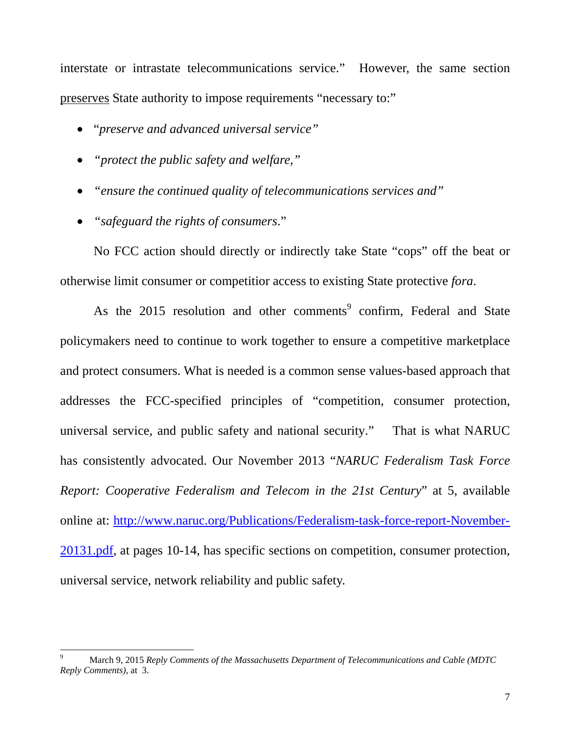interstate or intrastate telecommunications service." However, the same section preserves State authority to impose requirements "necessary to:"

- "*preserve and advanced universal service"*
- *"protect the public safety and welfare,"*
- *"ensure the continued quality of telecommunications services and"*
- *"safeguard the rights of consumers*."

 No FCC action should directly or indirectly take State "cops" off the beat or otherwise limit consumer or competitior access to existing State protective *fora*.

As the 2015 resolution and other comments<sup>9</sup> confirm, Federal and State policymakers need to continue to work together to ensure a competitive marketplace and protect consumers. What is needed is a common sense values-based approach that addresses the FCC-specified principles of "competition, consumer protection, universal service, and public safety and national security." That is what NARUC has consistently advocated. Our November 2013 "*NARUC Federalism Task Force Report: Cooperative Federalism and Telecom in the 21st Century*" at 5, available online at: http://www.naruc.org/Publications/Federalism-task-force-report-November-20131.pdf, at pages 10-14, has specific sections on competition, consumer protection, universal service, network reliability and public safety.

 9 March 9, 2015 *Reply Comments of the Massachusetts Department of Telecommunications and Cable (MDTC Reply Comments)*, at 3.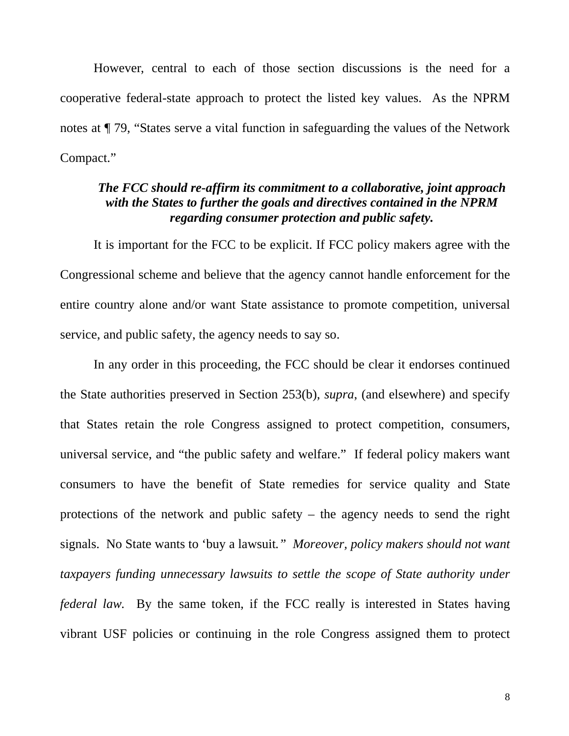However, central to each of those section discussions is the need for a cooperative federal-state approach to protect the listed key values. As the NPRM notes at ¶ 79, "States serve a vital function in safeguarding the values of the Network Compact."

### *The FCC should re-affirm its commitment to a collaborative, joint approach with the States to further the goals and directives contained in the NPRM regarding consumer protection and public safety.*

It is important for the FCC to be explicit. If FCC policy makers agree with the Congressional scheme and believe that the agency cannot handle enforcement for the entire country alone and/or want State assistance to promote competition, universal service, and public safety, the agency needs to say so.

In any order in this proceeding, the FCC should be clear it endorses continued the State authorities preserved in Section 253(b), *supra*, (and elsewhere) and specify that States retain the role Congress assigned to protect competition, consumers, universal service, and "the public safety and welfare." If federal policy makers want consumers to have the benefit of State remedies for service quality and State protections of the network and public safety – the agency needs to send the right signals. No State wants to 'buy a lawsuit*." Moreover, policy makers should not want taxpayers funding unnecessary lawsuits to settle the scope of State authority under federal law.* By the same token, if the FCC really is interested in States having vibrant USF policies or continuing in the role Congress assigned them to protect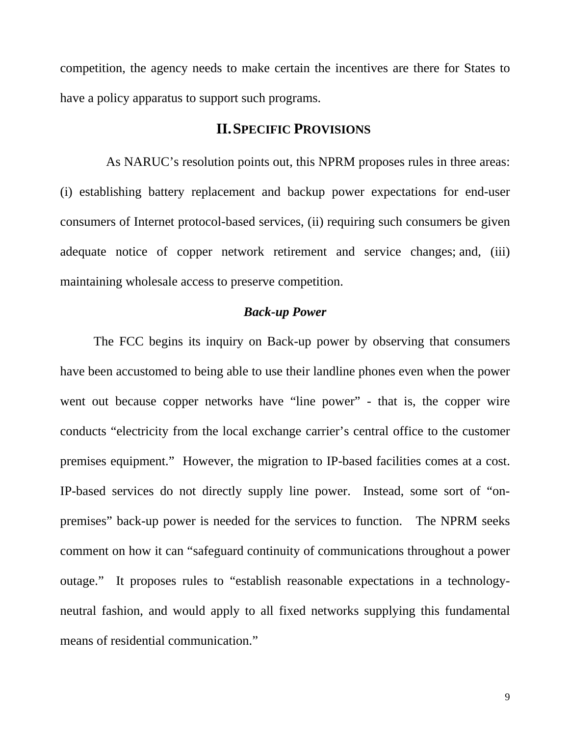competition, the agency needs to make certain the incentives are there for States to have a policy apparatus to support such programs.

#### **II.SPECIFIC PROVISIONS**

 As NARUC's resolution points out, this NPRM proposes rules in three areas: (i) establishing battery replacement and backup power expectations for end-user consumers of Internet protocol-based services, (ii) requiring such consumers be given adequate notice of copper network retirement and service changes; and, (iii) maintaining wholesale access to preserve competition.

#### *Back-up Power*

 The FCC begins its inquiry on Back-up power by observing that consumers have been accustomed to being able to use their landline phones even when the power went out because copper networks have "line power" - that is, the copper wire conducts "electricity from the local exchange carrier's central office to the customer premises equipment." However, the migration to IP-based facilities comes at a cost. IP-based services do not directly supply line power. Instead, some sort of "onpremises" back-up power is needed for the services to function. The NPRM seeks comment on how it can "safeguard continuity of communications throughout a power outage." It proposes rules to "establish reasonable expectations in a technologyneutral fashion, and would apply to all fixed networks supplying this fundamental means of residential communication."

9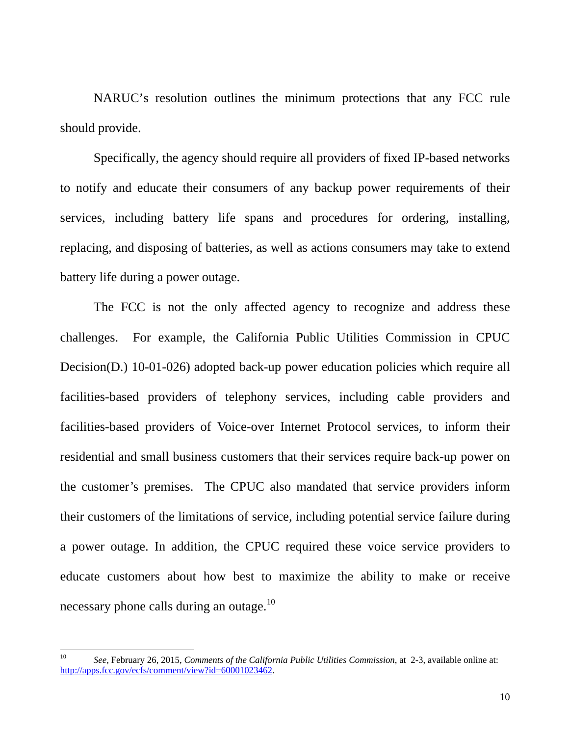NARUC's resolution outlines the minimum protections that any FCC rule should provide.

 Specifically, the agency should require all providers of fixed IP-based networks to notify and educate their consumers of any backup power requirements of their services, including battery life spans and procedures for ordering, installing, replacing, and disposing of batteries, as well as actions consumers may take to extend battery life during a power outage.

 The FCC is not the only affected agency to recognize and address these challenges. For example, the California Public Utilities Commission in CPUC Decision(D.) 10-01-026) adopted back-up power education policies which require all facilities-based providers of telephony services, including cable providers and facilities-based providers of Voice-over Internet Protocol services, to inform their residential and small business customers that their services require back-up power on the customer's premises. The CPUC also mandated that service providers inform their customers of the limitations of service, including potential service failure during a power outage. In addition, the CPUC required these voice service providers to educate customers about how best to maximize the ability to make or receive necessary phone calls during an outage.<sup>10</sup>

 $10<sup>10</sup>$ 10 *See*, February 26, 2015, *Comments of the California Public Utilities Commission*, at 2-3, available online at: http://apps.fcc.gov/ecfs/comment/view?id=60001023462.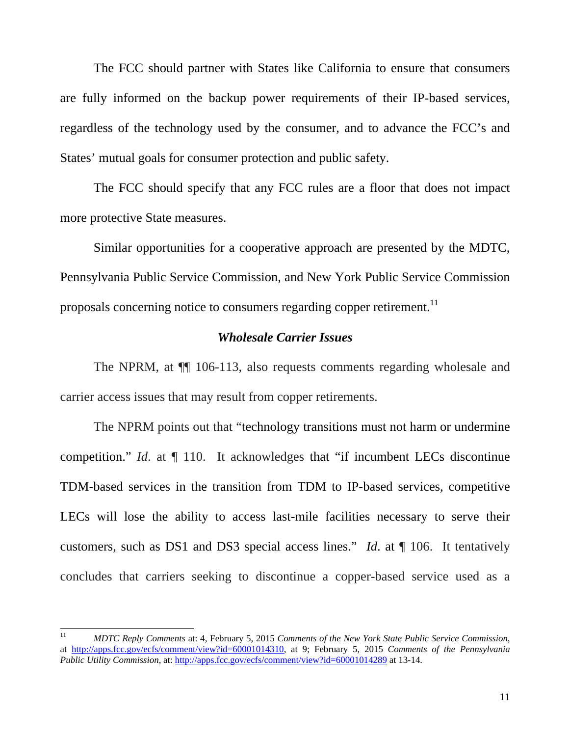The FCC should partner with States like California to ensure that consumers are fully informed on the backup power requirements of their IP-based services, regardless of the technology used by the consumer, and to advance the FCC's and States' mutual goals for consumer protection and public safety.

 The FCC should specify that any FCC rules are a floor that does not impact more protective State measures.

 Similar opportunities for a cooperative approach are presented by the MDTC, Pennsylvania Public Service Commission, and New York Public Service Commission proposals concerning notice to consumers regarding copper retirement.<sup>11</sup>

#### *Wholesale Carrier Issues*

 The NPRM, at ¶¶ 106-113, also requests comments regarding wholesale and carrier access issues that may result from copper retirements.

 The NPRM points out that "technology transitions must not harm or undermine competition." *Id.* at  $\P$  110. It acknowledges that "if incumbent LECs discontinue TDM-based services in the transition from TDM to IP-based services, competitive LECs will lose the ability to access last-mile facilities necessary to serve their customers, such as DS1 and DS3 special access lines." *Id*. at ¶ 106. It tentatively concludes that carriers seeking to discontinue a copper-based service used as a

 $11$ 11 *MDTC Reply Comments* at: 4, February 5, 2015 *Comments of the New York State Public Service Commission*, at http://apps.fcc.gov/ecfs/comment/view?id=60001014310, at 9; February 5, 2015 *Comments of the Pennsylvania Public Utility Commission*, at: http://apps.fcc.gov/ecfs/comment/view?id=60001014289 at 13-14.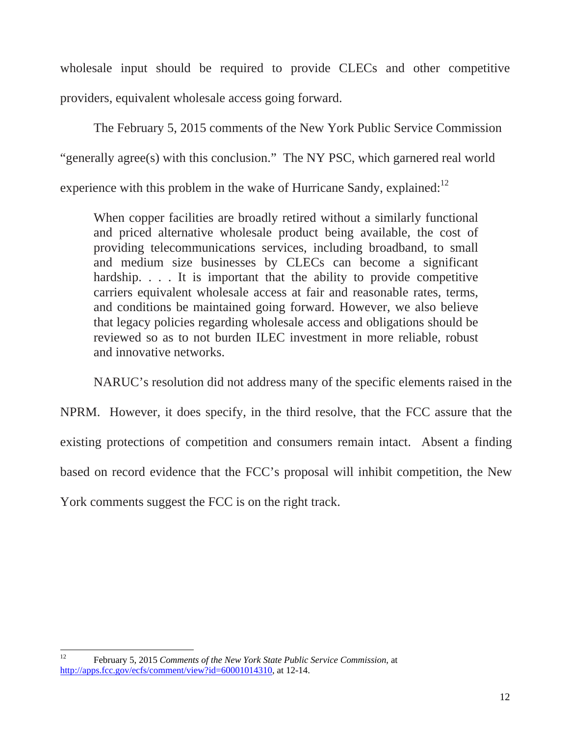wholesale input should be required to provide CLECs and other competitive providers, equivalent wholesale access going forward.

 The February 5, 2015 comments of the New York Public Service Commission "generally agree(s) with this conclusion." The NY PSC, which garnered real world experience with this problem in the wake of Hurricane Sandy, explained: $^{12}$ 

When copper facilities are broadly retired without a similarly functional and priced alternative wholesale product being available, the cost of providing telecommunications services, including broadband, to small and medium size businesses by CLECs can become a significant hardship. . . . It is important that the ability to provide competitive carriers equivalent wholesale access at fair and reasonable rates, terms, and conditions be maintained going forward. However, we also believe that legacy policies regarding wholesale access and obligations should be reviewed so as to not burden ILEC investment in more reliable, robust and innovative networks.

NARUC's resolution did not address many of the specific elements raised in the

NPRM. However, it does specify, in the third resolve, that the FCC assure that the existing protections of competition and consumers remain intact. Absent a finding based on record evidence that the FCC's proposal will inhibit competition, the New

York comments suggest the FCC is on the right track.

 $12$ 12 February 5, 2015 *Comments of the New York State Public Service Commission*, at http://apps.fcc.gov/ecfs/comment/view?id=60001014310, at 12-14.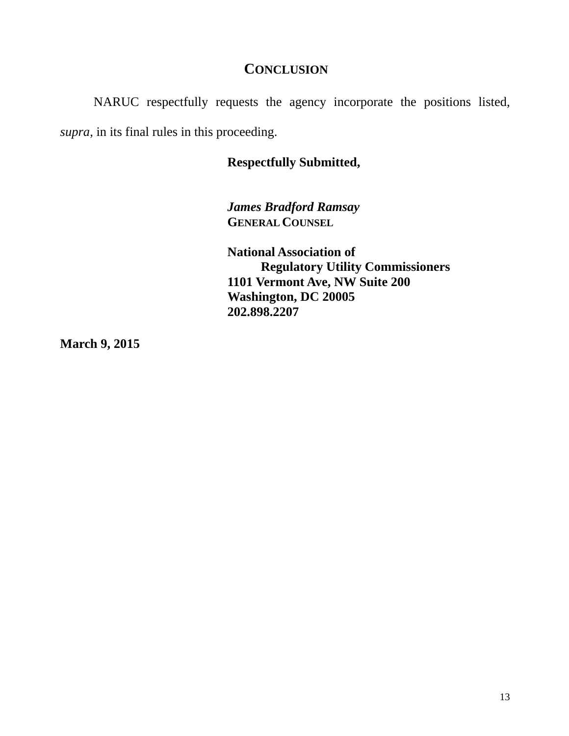## **CONCLUSION**

NARUC respectfully requests the agency incorporate the positions listed, *supra*, in its final rules in this proceeding.

### **Respectfully Submitted,**

*James Bradford Ramsay*   **GENERAL COUNSEL**

**National Association of Regulatory Utility Commissioners 1101 Vermont Ave, NW Suite 200 Washington, DC 20005 202.898.2207** 

**March 9, 2015**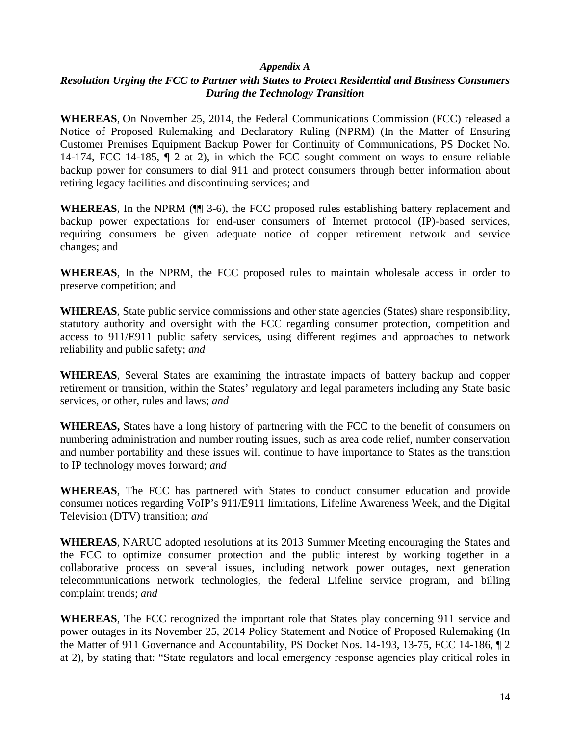#### *Appendix A*

#### *Resolution Urging the FCC to Partner with States to Protect Residential and Business Consumers During the Technology Transition*

**WHEREAS**, On November 25, 2014, the Federal Communications Commission (FCC) released a Notice of Proposed Rulemaking and Declaratory Ruling (NPRM) (In the Matter of Ensuring Customer Premises Equipment Backup Power for Continuity of Communications, PS Docket No. 14-174, FCC 14-185, ¶ 2 at 2), in which the FCC sought comment on ways to ensure reliable backup power for consumers to dial 911 and protect consumers through better information about retiring legacy facilities and discontinuing services; and

**WHEREAS**, In the NPRM (¶¶ 3-6), the FCC proposed rules establishing battery replacement and backup power expectations for end-user consumers of Internet protocol (IP)-based services, requiring consumers be given adequate notice of copper retirement network and service changes; and

**WHEREAS**, In the NPRM, the FCC proposed rules to maintain wholesale access in order to preserve competition; and

**WHEREAS**, State public service commissions and other state agencies (States) share responsibility, statutory authority and oversight with the FCC regarding consumer protection, competition and access to 911/E911 public safety services, using different regimes and approaches to network reliability and public safety; *and*

**WHEREAS**, Several States are examining the intrastate impacts of battery backup and copper retirement or transition, within the States' regulatory and legal parameters including any State basic services, or other, rules and laws; *and* 

**WHEREAS,** States have a long history of partnering with the FCC to the benefit of consumers on numbering administration and number routing issues, such as area code relief, number conservation and number portability and these issues will continue to have importance to States as the transition to IP technology moves forward; *and*

**WHEREAS**, The FCC has partnered with States to conduct consumer education and provide consumer notices regarding VoIP's 911/E911 limitations, Lifeline Awareness Week, and the Digital Television (DTV) transition; *and* 

**WHEREAS**, NARUC adopted resolutions at its 2013 Summer Meeting encouraging the States and the FCC to optimize consumer protection and the public interest by working together in a collaborative process on several issues, including network power outages, next generation telecommunications network technologies, the federal Lifeline service program, and billing complaint trends; *and*

**WHEREAS**, The FCC recognized the important role that States play concerning 911 service and power outages in its November 25, 2014 Policy Statement and Notice of Proposed Rulemaking (In the Matter of 911 Governance and Accountability, PS Docket Nos. 14-193, 13-75, FCC 14-186, ¶ 2 at 2), by stating that: "State regulators and local emergency response agencies play critical roles in